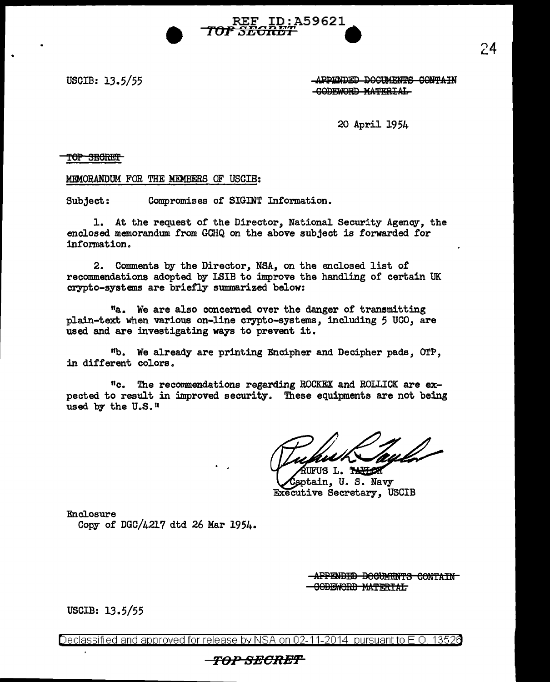USCIB: 13.5/55

.. •

LAPPENDED DOCUMENTS CONTAIN -GODEWORD MATERIAL

20 April 1954

TOP SECRET

MEMORANDUM FOR THE MEMBERS OF USCIB:

Subject: Compromises of SIGJNT Information.

1. At the request of the Director, National Security Agency, the enclosed memorandum from GCHQ on the above subject is forwarded for information.

REF ID:A59621

<del>,5E0RB7</del>

2. Comments by the Director, NSA, on the enclosed list of recommendations adopted by LSIB to improve the handling of certain UK crypto-systems are briefly summarized below:

<sup>11</sup>a. We are also concerned over the danger of transmitting plain-text. when various on-line crypto-systems, including 5 UCO, are used and are investigating ways to prevent it.

<sup>11</sup>b. We already are printing Encipher and Decipher pads, OTP, in different colors.

<sup>11</sup> c. The reconunendations regarding ROCKEX and ROLLICK are expected to result in improved security. These equipments are not being used by the U.S.<sup>11</sup>

UFUS L. THERE

aptain, U.S. Navy EXecutive Secretary, USCIB

Enclosure

Copy of DGC/4217 dtd 26 Mar 1954.

-APPENDED BOCUMENTS CONTAIN--GODEWORD MATERIAL

USCIB: 13.5/55

Declassified and approved for release by NSA on 02-11-2014 pursuant to E .0. 1352a

### **FOPSBORBf'**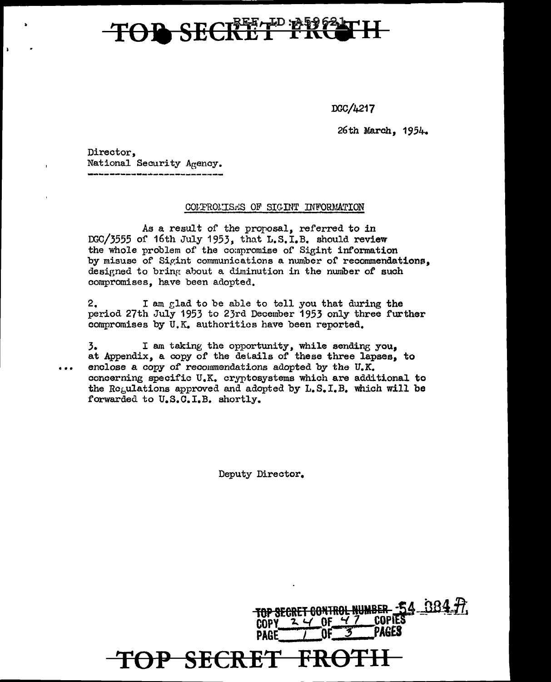# **B** SECRETE PRESS

DGC/4217

TOP SECRET CONTROL NUMBER - 54 384 77

PAGES

26th March, 1954.

Director, National Security Agency.

#### COLFROLISES OF SIGINT INFORMATION

As a result of the proposal, referred to in DGC/3555 of 16th July 1953, that L.S.I.B. should review the whole problem of the compromise of Sigint information by misuse of Sigint communications a number of recommendations, designed to bring about a diminution in the number of such compromises, have been adopted.

2. I am glad to be able to tell you that during the period 27th July 1953 to 23rd December 1953 only three further compromises by U.K. authorities have been reported.

I am taking the opportunity, while sending you, 3. at Appendix, a copy of the details of these three lapses, to enclose a copy of recommendations adopted by the U.K. concerning specific U.K. cryptosystems which are additional to the Requlations approved and adopted by L.S.I.B. which will be forwarded to U.S.C.I.B. shortly.

Deputy Director.

**PAGE** 

<del>OP SECRET</del>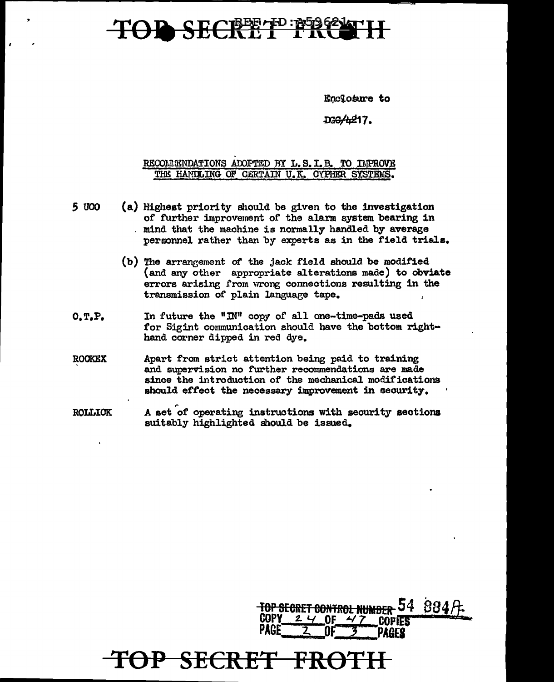## SECRETE FREE

Enclosure to

DGG/4217.

### RECOLLENDATIONS ADOPTED BY L.S. I.B. TO IMPROVE THE HANDLING OF CERTAIN U.K. CYPHER SYSTEMS.

- *S* UCO (a) Highest priority should be given to the investigation of further improvement of the alarm system bearing in . mind that the machine is normally handled by average personnel rather than by experts as in the f'ield trials.
	- (b) The arrangement of the jack field should be modified {and any other appropriate alterations made) to obviate errors arising from wrong connections resulting in the transmission of plain language tape.
- O.T.P. In future the "IN" copy of all one-time-pads used for Sigint communication should have the bottom righthand corner dipped in red dye.
- ROOKEX Apart f'rom strict attention being paid to training and supervision no further recommendations are made since the introduction of the mechanical modifications should effect the necessary improvement in security.
- ROLLIOK A set of operating instructions with security sections suitably highlighted should be issued.

OP SECRET FI

,..

<del>TOP SECRET CONTROL NUMBER 54 884 P.</del><br>COPY 24 OF 47 COPIES<br>PAGE 2 OF 3 DADER  $PAGE$   $2$   $OF$   $3$   $PAGE$